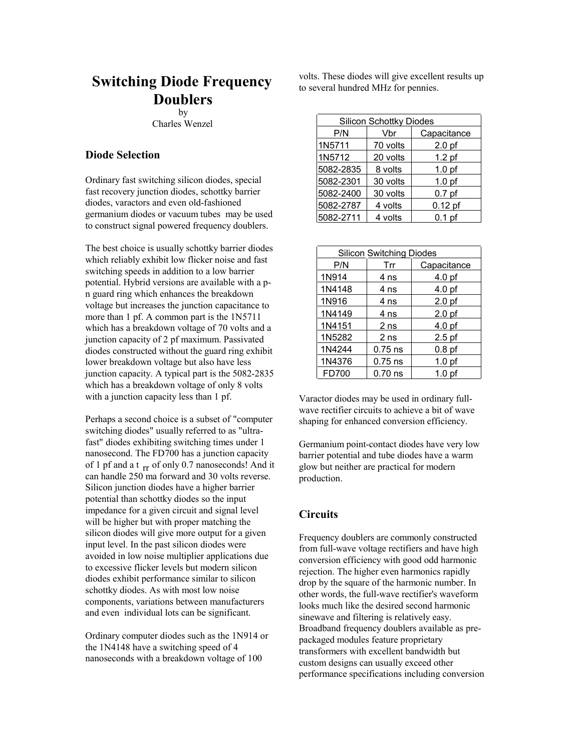## **Switching Diode Frequency Doublers**

by Charles Wenzel

## **Diode Selection**

Ordinary fast switching silicon diodes, special fast recovery junction diodes, schottky barrier diodes, varactors and even old-fashioned germanium diodes or vacuum tubes may be used to construct signal powered frequency doublers.

The best choice is usually schottky barrier diodes which reliably exhibit low flicker noise and fast switching speeds in addition to a low barrier potential. Hybrid versions are available with a pn guard ring which enhances the breakdown voltage but increases the junction capacitance to more than 1 pf. A common part is the 1N5711 which has a breakdown voltage of 70 volts and a junction capacity of 2 pf maximum. Passivated diodes constructed without the guard ring exhibit lower breakdown voltage but also have less junction capacity. A typical part is the 5082-2835 which has a breakdown voltage of only 8 volts with a junction capacity less than 1 pf.

Perhaps a second choice is a subset of "computer switching diodes" usually referred to as "ultrafast" diodes exhibiting switching times under 1 nanosecond. The FD700 has a junction capacity of 1 pf and a t  $_{rr}$  of only 0.7 nanoseconds! And it can handle 250 ma forward and 30 volts reverse. Silicon junction diodes have a higher barrier potential than schottky diodes so the input impedance for a given circuit and signal level will be higher but with proper matching the silicon diodes will give more output for a given input level. In the past silicon diodes were avoided in low noise multiplier applications due to excessive flicker levels but modern silicon diodes exhibit performance similar to silicon schottky diodes. As with most low noise components, variations between manufacturers and even individual lots can be significant.

Ordinary computer diodes such as the 1N914 or the 1N4148 have a switching speed of 4 nanoseconds with a breakdown voltage of 100

volts. These diodes will give excellent results up to several hundred MHz for pennies.

| <b>Silicon Schottky Diodes</b> |          |                   |  |
|--------------------------------|----------|-------------------|--|
| P/N                            | Vbr      | Capacitance       |  |
| 1N5711                         | 70 volts | 2.0 <sub>pf</sub> |  |
| 1N5712                         | 20 volts | 1.2 <sub>pf</sub> |  |
| 5082-2835                      | 8 volts  | 1.0 <sub>pf</sub> |  |
| 5082-2301                      | 30 volts | 1.0 <sub>pf</sub> |  |
| 5082-2400                      | 30 volts | 0.7 <sub>pf</sub> |  |
| 5082-2787                      | 4 volts  | $0.12$ pf         |  |
| 5082-2711                      | 4 volts  | $0.1$ pf          |  |

| <b>Silicon Switching Diodes</b> |                 |                   |
|---------------------------------|-----------------|-------------------|
| P/N                             | Trr             | Capacitance       |
| 1N914                           | 4 ns            | 4.0 <sub>pf</sub> |
| 1N4148                          | 4 ns            | 4.0 <sub>pf</sub> |
| 1N916                           | 4 ns            | 2.0 <sub>pf</sub> |
| 1N4149                          | 4 ns            | 2.0 <sub>pf</sub> |
| 1N4151                          | 2 <sub>ns</sub> | 4.0 <sub>pf</sub> |
| 1N5282                          | 2 ns            | $2.5$ pf          |
| 1N4244                          | $0.75$ ns       | 0.8 <sub>pf</sub> |
| 1N4376                          | $0.75$ ns       | 1.0 <sub>pf</sub> |
| FD700                           | $0.70$ ns       | 1.0 <sub>pf</sub> |

Varactor diodes may be used in ordinary fullwave rectifier circuits to achieve a bit of wave shaping for enhanced conversion efficiency.

Germanium point-contact diodes have very low barrier potential and tube diodes have a warm glow but neither are practical for modern production.

## **Circuits**

Frequency doublers are commonly constructed from full-wave voltage rectifiers and have high conversion efficiency with good odd harmonic rejection. The higher even harmonics rapidly drop by the square of the harmonic number. In other words, the full-wave rectifier's waveform looks much like the desired second harmonic sinewave and filtering is relatively easy. Broadband frequency doublers available as prepackaged modules feature proprietary transformers with excellent bandwidth but custom designs can usually exceed other performance specifications including conversion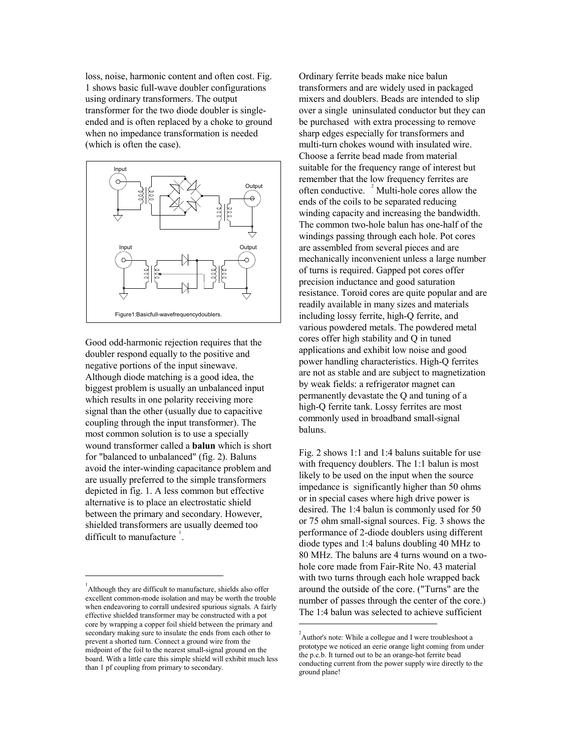loss, noise, harmonic content and often cost. Fig. 1 shows basic full-wave doubler configurations using ordinary transformers. The output transformer for the two diode doubler is singleended and is often replaced by a choke to ground when no impedance transformation is needed (which is often the case).



Good odd-harmonic rejection requires that the doubler respond equally to the positive and negative portions of the input sinewave. Although diode matching is a good idea, the biggest problem is usually an unbalanced input which results in one polarity receiving more signal than the other (usually due to capacitive coupling through the input transformer). The most common solution is to use a specially wound transformer called a **balun** which is short for "balanced to unbalanced" (fig. 2). Baluns avoid the inter-winding capacitance problem and are usually preferred to the simple transformers depicted in fig. 1. A less common but effective alternative is to place an electrostatic shield between the primary and secondary. However, shielded transformers are usually deemed too difficult to manufacture  $\overline{a}$ .

j

Ordinary ferrite beads make nice balun transformers and are widely used in packaged mixers and doublers. Beads are intended to slip over a single uninsulated conductor but they can be purchased with extra processing to remove sharp edges especially for transformers and multi-turn chokes wound with insulated wire. Choose a ferrite bead made from material suitable for the frequency range of interest but remember that the low frequency ferrites are often conductive. <sup>2</sup> Multi-hole cores allow the ends of the coils to be separated reducing winding capacity and increasing the bandwidth. The common two-hole balun has one-half of the windings passing through each hole. Pot cores are assembled from several pieces and are mechanically inconvenient unless a large number of turns is required. Gapped pot cores offer precision inductance and good saturation resistance. Toroid cores are quite popular and are readily available in many sizes and materials including lossy ferrite, high-Q ferrite, and various powdered metals. The powdered metal cores offer high stability and Q in tuned applications and exhibit low noise and good power handling characteristics. High-Q ferrites are not as stable and are subject to magnetization by weak fields: a refrigerator magnet can permanently devastate the Q and tuning of a high-Q ferrite tank. Lossy ferrites are most commonly used in broadband small-signal baluns.

Fig. 2 shows 1:1 and 1:4 baluns suitable for use with frequency doublers. The 1:1 balun is most likely to be used on the input when the source impedance is significantly higher than 50 ohms or in special cases where high drive power is desired. The 1:4 balun is commonly used for 50 or 75 ohm small-signal sources. Fig. 3 shows the performance of 2-diode doublers using different diode types and 1:4 baluns doubling 40 MHz to 80 MHz. The baluns are 4 turns wound on a twohole core made from Fair-Rite No. 43 material with two turns through each hole wrapped back around the outside of the core. ("Turns" are the number of passes through the center of the core.) The 1:4 balun was selected to achieve sufficient

1

<sup>&</sup>lt;sup>1</sup>Although they are difficult to manufacture, shields also offer excellent common-mode isolation and may be worth the trouble when endeavoring to corrall undesired spurious signals. A fairly effective shielded transformer may be constructed with a pot core by wrapping a copper foil shield between the primary and secondary making sure to insulate the ends from each other to prevent a shorted turn. Connect a ground wire from the midpoint of the foil to the nearest small-signal ground on the board. With a little care this simple shield will exhibit much less than 1 pf coupling from primary to secondary.

<sup>&</sup>lt;sup>2</sup> Author's note: While a collegue and I were troubleshoot a prototype we noticed an eerie orange light coming from under the p.c.b. It turned out to be an orange-hot ferrite bead conducting current from the power supply wire directly to the ground plane!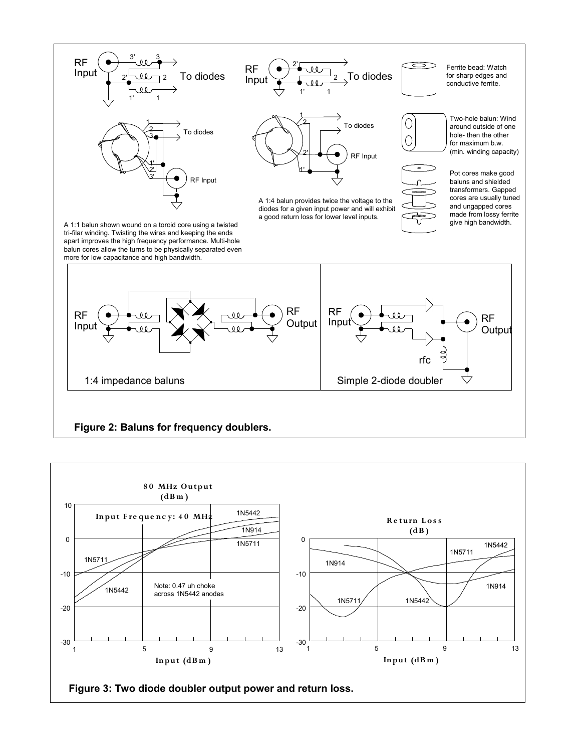